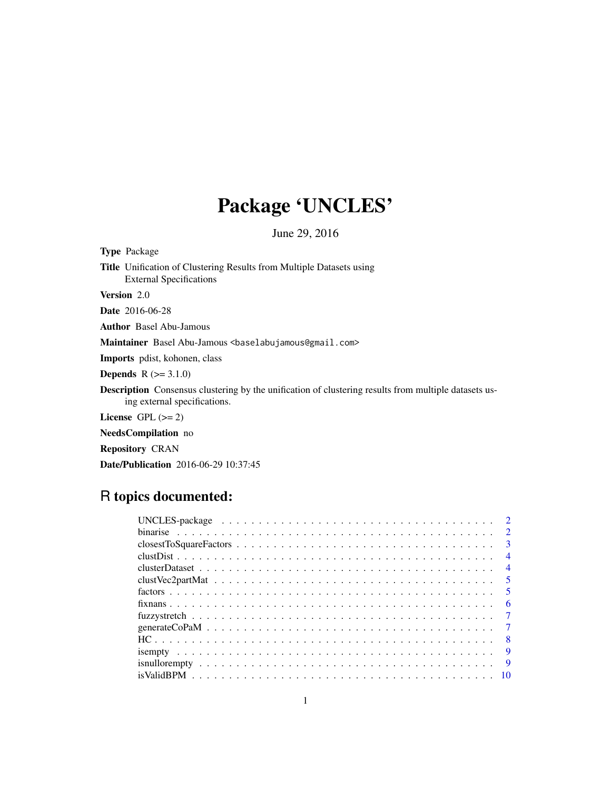# Package 'UNCLES'

June 29, 2016

| <b>Type Package</b>    |                                                                                                                                             |
|------------------------|---------------------------------------------------------------------------------------------------------------------------------------------|
|                        | <b>Title</b> Unification of Clustering Results from Multiple Datasets using<br><b>External Specifications</b>                               |
| <b>Version</b> 2.0     |                                                                                                                                             |
| <b>Date</b> 2016-06-28 |                                                                                                                                             |
|                        | <b>Author</b> Basel Abu-Jamous                                                                                                              |
|                        | Maintainer Basel Abu-Jamous <baselabujamous@gmail.com></baselabujamous@gmail.com>                                                           |
|                        | <b>Imports</b> polist, kohonen, class                                                                                                       |
|                        | <b>Depends</b> $R (=3.1.0)$                                                                                                                 |
|                        | <b>Description</b> Consensus clustering by the unification of clustering results from multiple datasets us-<br>ing external specifications. |

License GPL  $(>= 2)$ 

NeedsCompilation no

Repository CRAN

Date/Publication 2016-06-29 10:37:45

## R topics documented:

| $\overline{\mathbf{3}}$ |                |
|-------------------------|----------------|
|                         | $\overline{4}$ |
|                         | $\overline{4}$ |
| $\sqrt{5}$              |                |
| $\sqrt{5}$              |                |
|                         | -6             |
| $\overline{7}$          |                |
|                         |                |
| $\overline{8}$          |                |
|                         | -9             |
| $\overline{Q}$          |                |
|                         |                |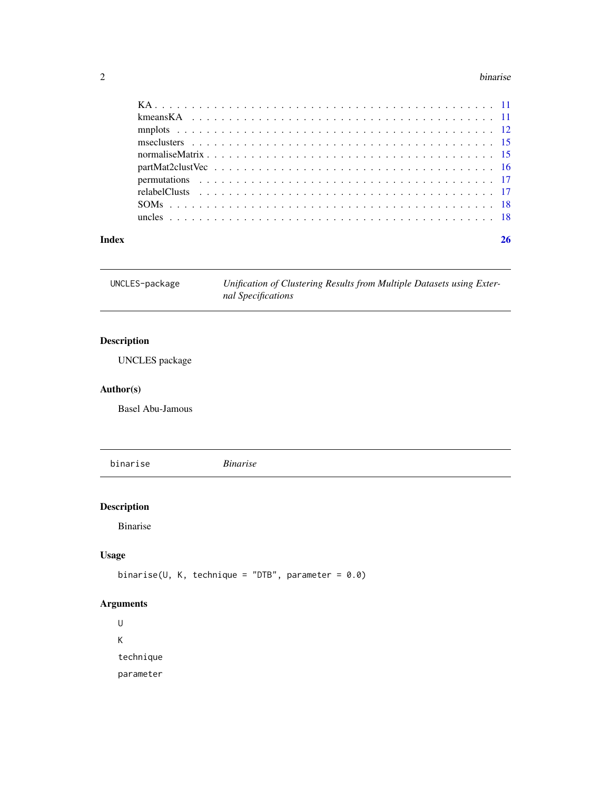#### <span id="page-1-0"></span>2 binarise

| Index |  |
|-------|--|

UNCLES-package *Unification of Clustering Results from Multiple Datasets using External Specifications*

#### Description

UNCLES package

#### Author(s)

Basel Abu-Jamous

binarise *Binarise*

#### Description

Binarise

#### Usage

binarise(U, K, technique = "DTB", parameter =  $0.0$ )

#### Arguments

U K technique parameter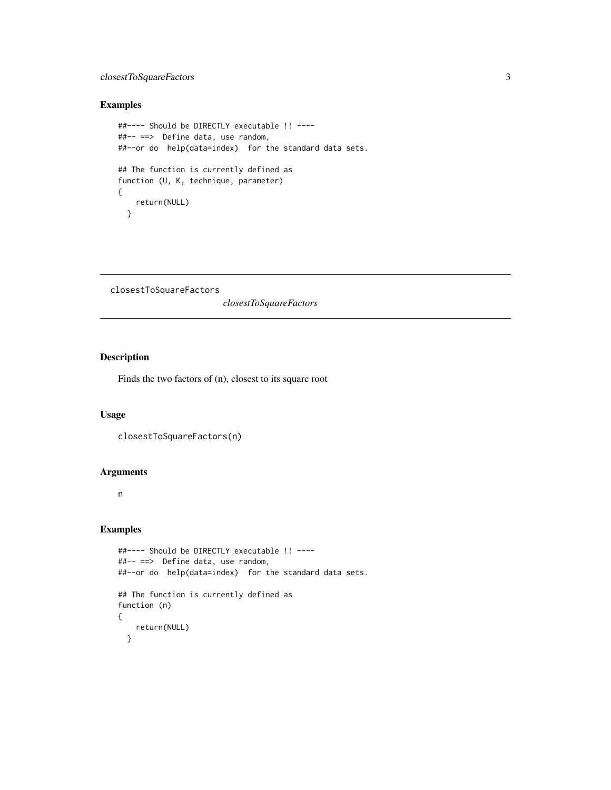#### <span id="page-2-0"></span>closestToSquareFactors 3

#### Examples

```
##---- Should be DIRECTLY executable !! ----
##-- ==> Define data, use random,
##--or do help(data=index) for the standard data sets.
## The function is currently defined as
function (U, K, technique, parameter)
{
   return(NULL)
  }
```

```
closestToSquareFactors
```
*closestToSquareFactors*

#### Description

Finds the two factors of (n), closest to its square root

#### Usage

```
closestToSquareFactors(n)
```
#### Arguments

n

```
##---- Should be DIRECTLY executable !! ----
##-- ==> Define data, use random,
##--or do help(data=index) for the standard data sets.
## The function is currently defined as
function (n)
{
   return(NULL)
 }
```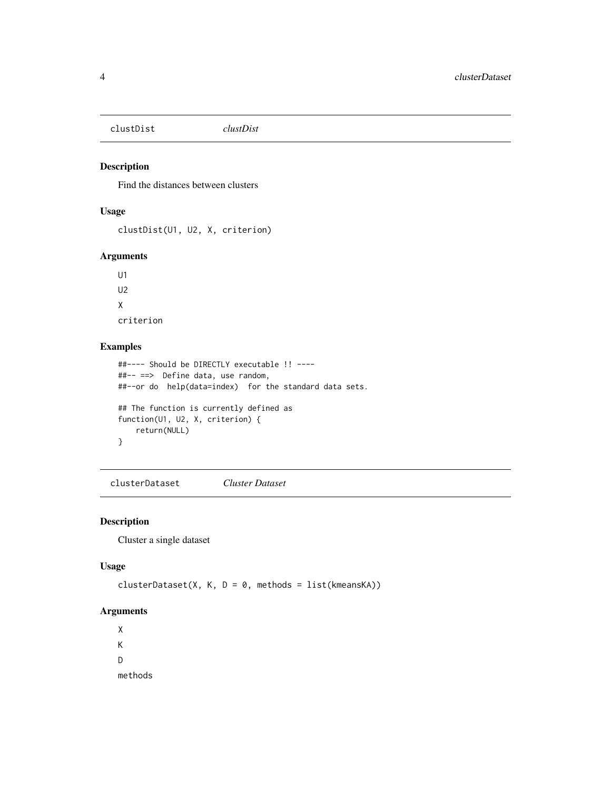<span id="page-3-0"></span>clustDist *clustDist*

#### Description

Find the distances between clusters

#### Usage

```
clustDist(U1, U2, X, criterion)
```
#### Arguments

U1  $U<sub>2</sub>$ X criterion

#### Examples

```
##---- Should be DIRECTLY executable !! ----
##-- ==> Define data, use random,
##--or do help(data=index) for the standard data sets.
## The function is currently defined as
function(U1, U2, X, criterion) {
   return(NULL)
}
```
clusterDataset *Cluster Dataset*

#### Description

Cluster a single dataset

#### Usage

```
clusterDataset(X, K, D = 0, methods = list(kmeansKA))
```
#### Arguments

X K D methods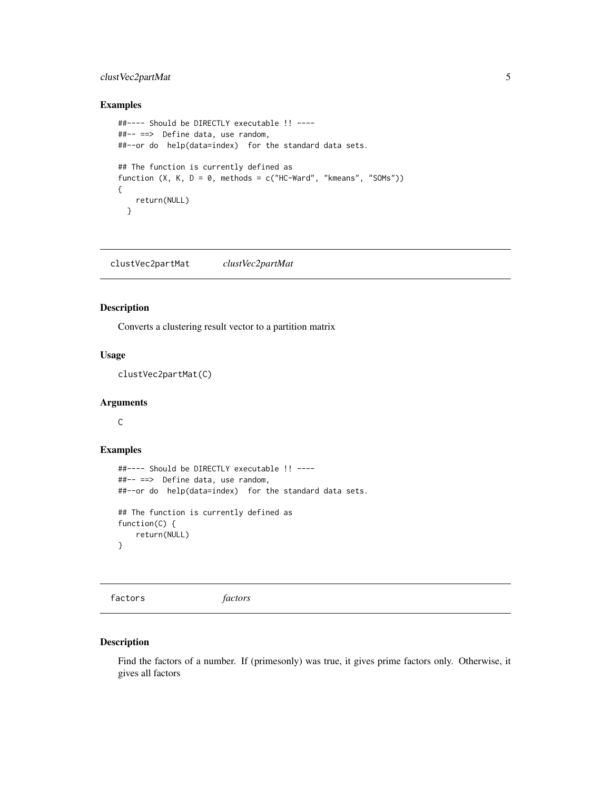#### <span id="page-4-0"></span>clustVec2partMat 5

#### Examples

```
##---- Should be DIRECTLY executable !! ----
##-- ==> Define data, use random,
##--or do help(data=index) for the standard data sets.
## The function is currently defined as
function (X, K, D = 0, methods = c("HC-Ward", "kmeans", "SOMs"))
{
   return(NULL)
  }
```
clustVec2partMat *clustVec2partMat*

#### Description

Converts a clustering result vector to a partition matrix

#### Usage

clustVec2partMat(C)

#### Arguments

C

#### Examples

```
##---- Should be DIRECTLY executable !! ----
##-- ==> Define data, use random,
##--or do help(data=index) for the standard data sets.
## The function is currently defined as
function(C) {
   return(NULL)
}
```
factors *factors*

#### Description

Find the factors of a number. If (primesonly) was true, it gives prime factors only. Otherwise, it gives all factors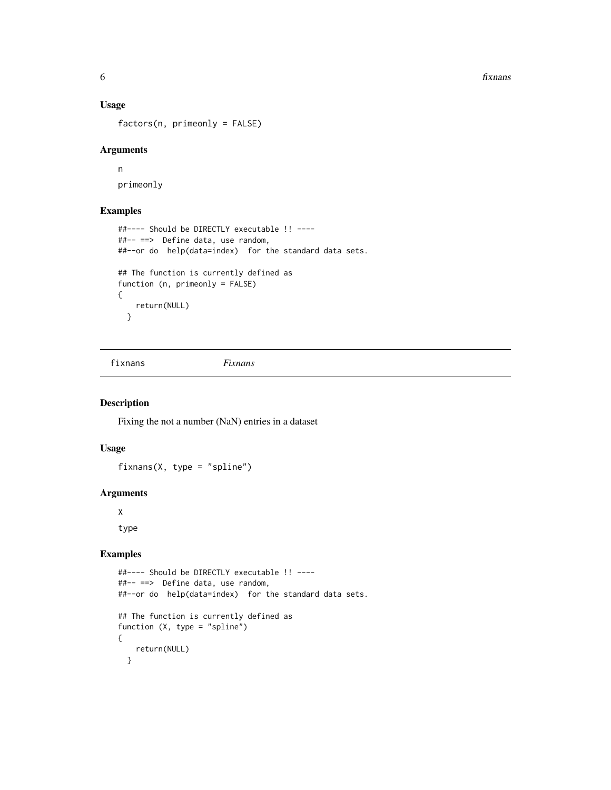<span id="page-5-0"></span>**6** fixnans

#### Usage

factors(n, primeonly = FALSE)

#### Arguments

n primeonly

#### Examples

```
##---- Should be DIRECTLY executable !! ----
##-- ==> Define data, use random,
##--or do help(data=index) for the standard data sets.
## The function is currently defined as
function (n, primeonly = FALSE)
{
   return(NULL)
  }
```
fixnans *Fixnans*

#### Description

Fixing the not a number (NaN) entries in a dataset

#### Usage

fixnans( $X$ , type = "spline")

#### Arguments

X

type

```
##---- Should be DIRECTLY executable !! ----
##-- ==> Define data, use random,
##--or do help(data=index) for the standard data sets.
## The function is currently defined as
function (X, type = "spline")
{
    return(NULL)
  }
```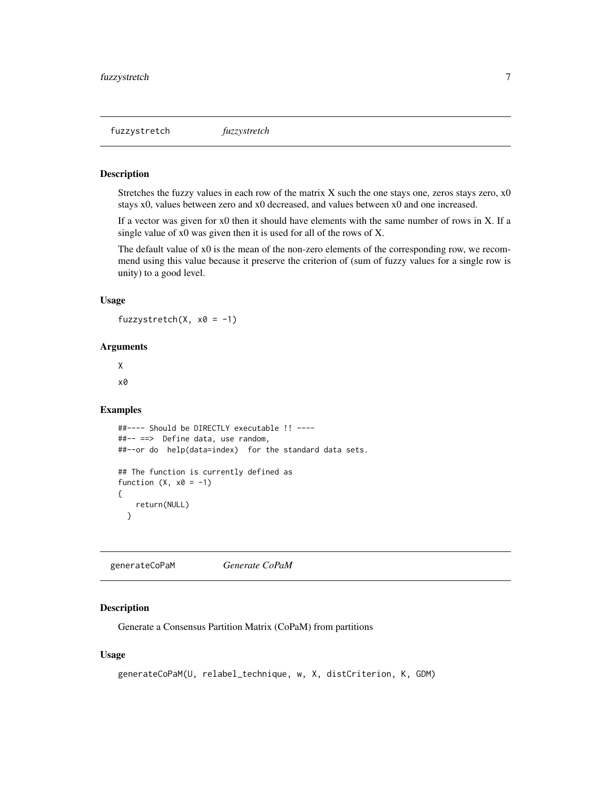<span id="page-6-0"></span>fuzzystretch *fuzzystretch*

#### Description

Stretches the fuzzy values in each row of the matrix X such the one stays one, zeros stays zero, x0 stays x0, values between zero and x0 decreased, and values between x0 and one increased.

If a vector was given for x0 then it should have elements with the same number of rows in X. If a single value of x0 was given then it is used for all of the rows of X.

The default value of x0 is the mean of the non-zero elements of the corresponding row, we recommend using this value because it preserve the criterion of (sum of fuzzy values for a single row is unity) to a good level.

#### Usage

fuzzystretch( $X, x0 = -1$ )

#### **Arguments**

X x0

#### Examples

```
##---- Should be DIRECTLY executable !! ----
##-- ==> Define data, use random,
##--or do help(data=index) for the standard data sets.
## The function is currently defined as
function (X, x0 = -1){
    return(NULL)
 }
```
generateCoPaM *Generate CoPaM*

#### Description

Generate a Consensus Partition Matrix (CoPaM) from partitions

#### Usage

```
generateCoPaM(U, relabel_technique, w, X, distCriterion, K, GDM)
```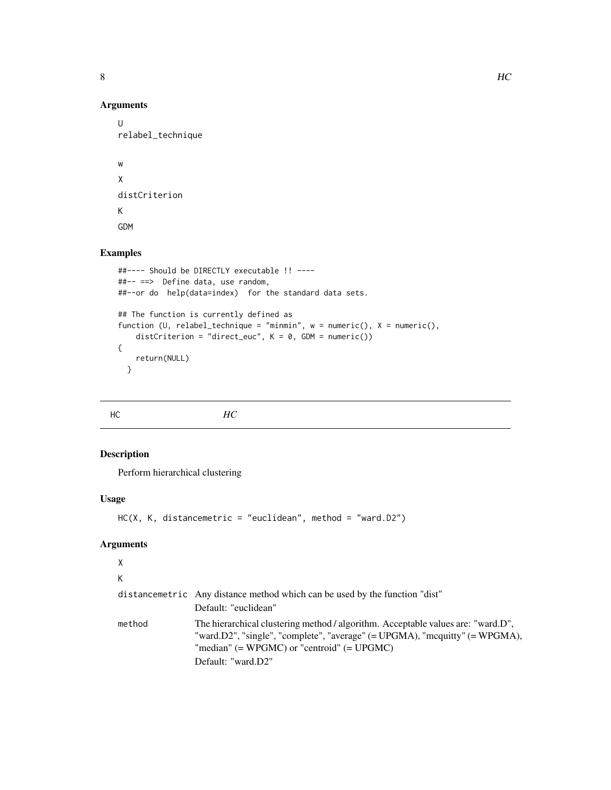<span id="page-7-0"></span>

#### Arguments

 $\cup$ relabel\_technique

w X distCriterion K GDM

#### Examples

```
##---- Should be DIRECTLY executable !! ----
##-- ==> Define data, use random,
##--or do help(data=index) for the standard data sets.
## The function is currently defined as
function (U, relabel_technique = "minmin", w = numeric(), X = numeric(),
   distCriterion = "direct_euc", K = 0, GDM = numeric())
{
   return(NULL)
  }
```
HC *HC*

#### Description

Perform hierarchical clustering

#### Usage

```
HC(X, K, distancemetric = "euclidean", method = "ward.D2")
```
#### Arguments

### X

K

|        | distancemetric Any distance method which can be used by the function "dist"<br>Default: "euclidean"                                                                                                                 |
|--------|---------------------------------------------------------------------------------------------------------------------------------------------------------------------------------------------------------------------|
| method | The hierarchical clustering method / algorithm. Acceptable values are: "ward.D",<br>"ward.D2", "single", "complete", "average" $(=UPGMA)$ , "mcquitty" $(=WPGMA)$ ,<br>"median" $(=WPGMC)$ or "centroid" $(=UPGMC)$ |
|        | Default: "ward.D2"                                                                                                                                                                                                  |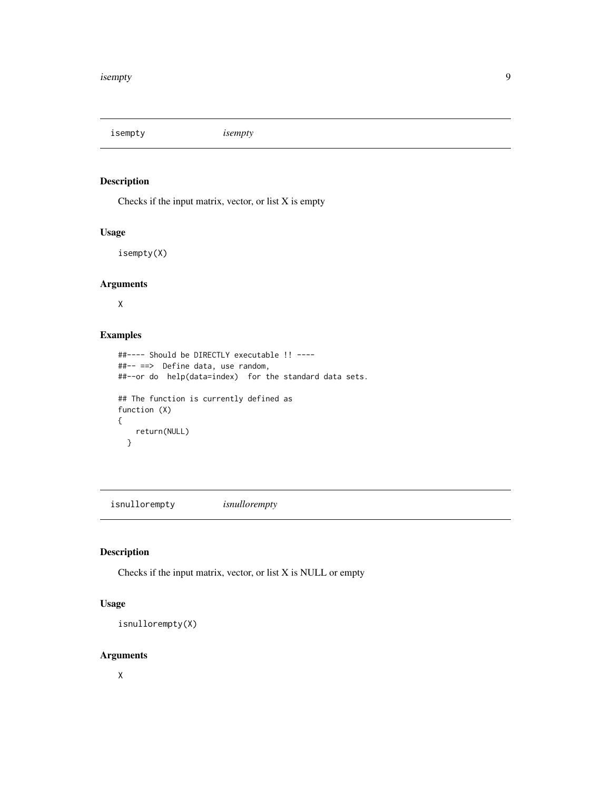<span id="page-8-0"></span>isempty *isempty*

#### Description

Checks if the input matrix, vector, or list X is empty

#### Usage

isempty(X)

#### Arguments

X

#### Examples

```
##---- Should be DIRECTLY executable !! ----
##-- ==> Define data, use random,
##--or do help(data=index) for the standard data sets.
## The function is currently defined as
function (X)
{
   return(NULL)
  }
```
isnullorempty *isnullorempty*

#### Description

Checks if the input matrix, vector, or list X is NULL or empty

#### Usage

```
isnullorempty(X)
```
#### Arguments

X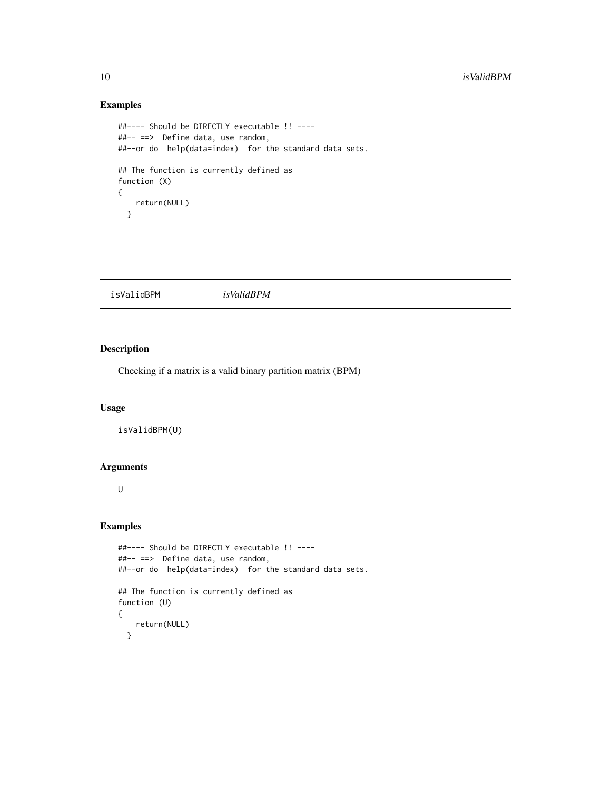#### Examples

```
##---- Should be DIRECTLY executable !! ----
##-- ==> Define data, use random,
##--or do help(data=index) for the standard data sets.
## The function is currently defined as
function (X)
{
   return(NULL)
  }
```
isValidBPM *isValidBPM*

#### Description

Checking if a matrix is a valid binary partition matrix (BPM)

#### Usage

isValidBPM(U)

#### Arguments

U

```
##---- Should be DIRECTLY executable !! ----
##-- ==> Define data, use random,
##--or do help(data=index) for the standard data sets.
## The function is currently defined as
function (U)
{
   return(NULL)
 }
```
<span id="page-9-0"></span>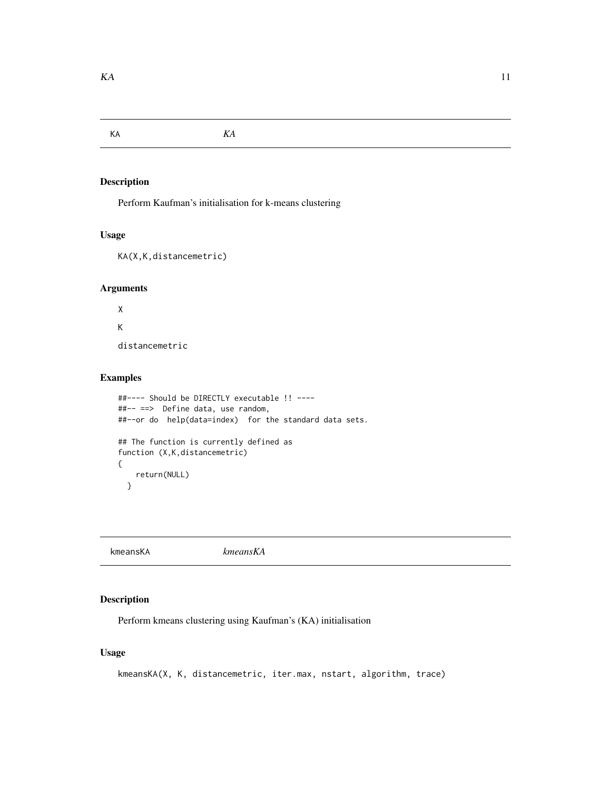<span id="page-10-0"></span>KA *KA*

#### Description

Perform Kaufman's initialisation for k-means clustering

#### Usage

```
KA(X,K,distancemetric)
```
#### Arguments

X K distancemetric

Examples

```
##---- Should be DIRECTLY executable !! ----
##-- ==> Define data, use random,
##--or do help(data=index) for the standard data sets.
## The function is currently defined as
function (X,K,distancemetric)
{
   return(NULL)
  }
```
kmeansKA *kmeansKA*

#### Description

Perform kmeans clustering using Kaufman's (KA) initialisation

#### Usage

kmeansKA(X, K, distancemetric, iter.max, nstart, algorithm, trace)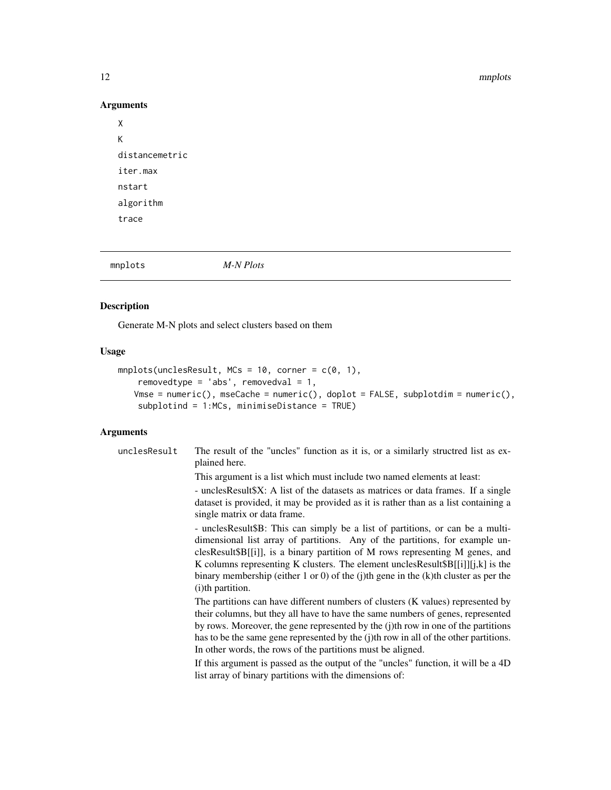#### 12 mnplots

#### Arguments

```
X
K
distancemetric
iter.max
nstart
algorithm
trace
```
mnplots *M-N Plots*

#### Description

Generate M-N plots and select clusters based on them

### Usage

```
mnplots(unclesResult, MCs = 10, corner = c(0, 1),
   removedtype = 'abs', removedval = 1,
   Vmse = numeric(), mseCache = numeric(), doplot = FALSE, subplotdim = numeric(),
   subplotind = 1:MCs, minimiseDistance = TRUE)
```
#### Arguments

|  | unclesResult | The result of the "uncles" function as it is, or a similarly structred list as ex-<br>plained here.                                                                                                                                                                                                                                                                                                                                                 |
|--|--------------|-----------------------------------------------------------------------------------------------------------------------------------------------------------------------------------------------------------------------------------------------------------------------------------------------------------------------------------------------------------------------------------------------------------------------------------------------------|
|  |              | This argument is a list which must include two named elements at least:                                                                                                                                                                                                                                                                                                                                                                             |
|  |              | - uncles Result \$X: A list of the datasets as matrices or data frames. If a single<br>dataset is provided, it may be provided as it is rather than as a list containing a<br>single matrix or data frame.                                                                                                                                                                                                                                          |
|  |              | - uncles Result\$B: This can simply be a list of partitions, or can be a multi-<br>dimensional list array of partitions. Any of the partitions, for example un-<br>clesResult\$B[[i]], is a binary partition of M rows representing M genes, and<br>K columns representing K clusters. The element uncles Result $B[[i]][j,k]$ is the<br>binary membership (either 1 or 0) of the (j)th gene in the $(k)$ th cluster as per the<br>(i)th partition. |
|  |              | The partitions can have different numbers of clusters (K values) represented by<br>their columns, but they all have to have the same numbers of genes, represented<br>by rows. Moreover, the gene represented by the (j)th row in one of the partitions<br>has to be the same gene represented by the (j)th row in all of the other partitions.<br>In other words, the rows of the partitions must be aligned.                                      |
|  |              | If this argument is passed as the output of the "uncles" function, it will be a 4D<br>list array of binary partitions with the dimensions of:                                                                                                                                                                                                                                                                                                       |

<span id="page-11-0"></span>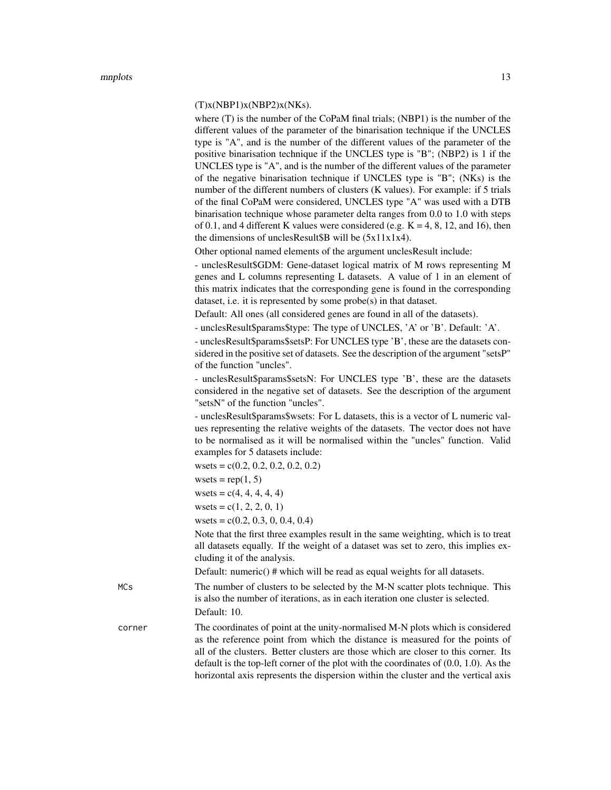#### $(T)x(NBP1)x(NBP2)x(NKs).$

where (T) is the number of the CoPaM final trials; (NBP1) is the number of the different values of the parameter of the binarisation technique if the UNCLES type is "A", and is the number of the different values of the parameter of the positive binarisation technique if the UNCLES type is "B"; (NBP2) is 1 if the UNCLES type is "A", and is the number of the different values of the parameter of the negative binarisation technique if UNCLES type is "B"; (NKs) is the number of the different numbers of clusters (K values). For example: if 5 trials of the final CoPaM were considered, UNCLES type "A" was used with a DTB binarisation technique whose parameter delta ranges from 0.0 to 1.0 with steps of 0.1, and 4 different K values were considered (e.g.  $K = 4, 8, 12,$  and 16), then the dimensions of unclesResult  $\beta$ B will be (5x11x1x4).

Other optional named elements of the argument unclesResult include:

- unclesResult\$GDM: Gene-dataset logical matrix of M rows representing M genes and L columns representing L datasets. A value of 1 in an element of this matrix indicates that the corresponding gene is found in the corresponding dataset, i.e. it is represented by some probe(s) in that dataset.

Default: All ones (all considered genes are found in all of the datasets).

- unclesResult\$params\$type: The type of UNCLES, 'A' or 'B'. Default: 'A'.

- unclesResult\$params\$setsP: For UNCLES type 'B', these are the datasets considered in the positive set of datasets. See the description of the argument "setsP" of the function "uncles".

- unclesResult\$params\$setsN: For UNCLES type 'B', these are the datasets considered in the negative set of datasets. See the description of the argument "setsN" of the function "uncles".

- unclesResult\$params\$wsets: For L datasets, this is a vector of L numeric values representing the relative weights of the datasets. The vector does not have to be normalised as it will be normalised within the "uncles" function. Valid examples for 5 datasets include:

wsets =  $c(0.2, 0.2, 0.2, 0.2, 0.2)$ 

wsets =  $rep(1, 5)$ 

 $wsets = c(4, 4, 4, 4, 4)$ wsets =  $c(1, 2, 2, 0, 1)$ wsets =  $c(0.2, 0.3, 0, 0.4, 0.4)$ 

Note that the first three examples result in the same weighting, which is to treat all datasets equally. If the weight of a dataset was set to zero, this implies excluding it of the analysis.

Default: numeric() # which will be read as equal weights for all datasets.

MCs The number of clusters to be selected by the M-N scatter plots technique. This is also the number of iterations, as in each iteration one cluster is selected. Default: 10.

corner The coordinates of point at the unity-normalised M-N plots which is considered as the reference point from which the distance is measured for the points of all of the clusters. Better clusters are those which are closer to this corner. Its default is the top-left corner of the plot with the coordinates of (0.0, 1.0). As the horizontal axis represents the dispersion within the cluster and the vertical axis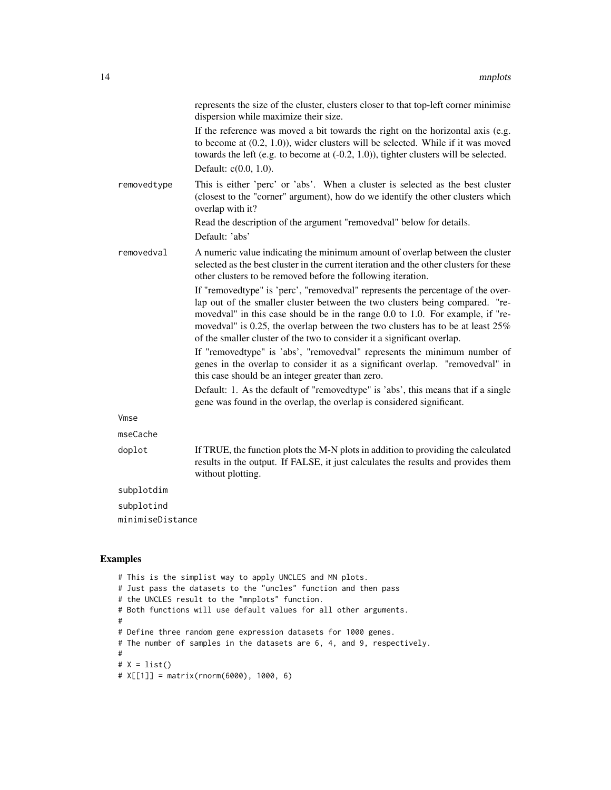|                  | represents the size of the cluster, clusters closer to that top-left corner minimise<br>dispersion while maximize their size.                                                                                                                                                                                                                                                                                  |
|------------------|----------------------------------------------------------------------------------------------------------------------------------------------------------------------------------------------------------------------------------------------------------------------------------------------------------------------------------------------------------------------------------------------------------------|
|                  | If the reference was moved a bit towards the right on the horizontal axis (e.g.<br>to become at $(0.2, 1.0)$ ), wider clusters will be selected. While if it was moved<br>towards the left (e.g. to become at $(-0.2, 1.0)$ ), tighter clusters will be selected.<br>Default: $c(0.0, 1.0)$ .                                                                                                                  |
| removedtype      | This is either 'perc' or 'abs'. When a cluster is selected as the best cluster<br>(closest to the "corner" argument), how do we identify the other clusters which<br>overlap with it?                                                                                                                                                                                                                          |
|                  | Read the description of the argument "removedval" below for details.<br>Default: 'abs'                                                                                                                                                                                                                                                                                                                         |
| removedval       | A numeric value indicating the minimum amount of overlap between the cluster<br>selected as the best cluster in the current iteration and the other clusters for these<br>other clusters to be removed before the following iteration.                                                                                                                                                                         |
|                  | If "removedtype" is 'perc', "removedval" represents the percentage of the over-<br>lap out of the smaller cluster between the two clusters being compared. "re-<br>movedval" in this case should be in the range 0.0 to 1.0. For example, if "re-<br>movedval" is 0.25, the overlap between the two clusters has to be at least 25%<br>of the smaller cluster of the two to consider it a significant overlap. |
|                  | If "removedtype" is 'abs', "removedval" represents the minimum number of<br>genes in the overlap to consider it as a significant overlap. "removedval" in<br>this case should be an integer greater than zero.                                                                                                                                                                                                 |
|                  | Default: 1. As the default of "removedtype" is 'abs', this means that if a single<br>gene was found in the overlap, the overlap is considered significant.                                                                                                                                                                                                                                                     |
| Vmse             |                                                                                                                                                                                                                                                                                                                                                                                                                |
| mseCache         |                                                                                                                                                                                                                                                                                                                                                                                                                |
| doplot           | If TRUE, the function plots the M-N plots in addition to providing the calculated<br>results in the output. If FALSE, it just calculates the results and provides them<br>without plotting.                                                                                                                                                                                                                    |
| subplotdim       |                                                                                                                                                                                                                                                                                                                                                                                                                |
| subplotind       |                                                                                                                                                                                                                                                                                                                                                                                                                |
| minimiseDistance |                                                                                                                                                                                                                                                                                                                                                                                                                |
|                  |                                                                                                                                                                                                                                                                                                                                                                                                                |

```
# This is the simplist way to apply UNCLES and MN plots.
# Just pass the datasets to the "uncles" function and then pass
# the UNCLES result to the "mnplots" function.
# Both functions will use default values for all other arguments.
#
# Define three random gene expression datasets for 1000 genes.
# The number of samples in the datasets are 6, 4, and 9, respectively.
#
# X = list()# X[[1]] = matrix(rnorm(6000), 1000, 6)
```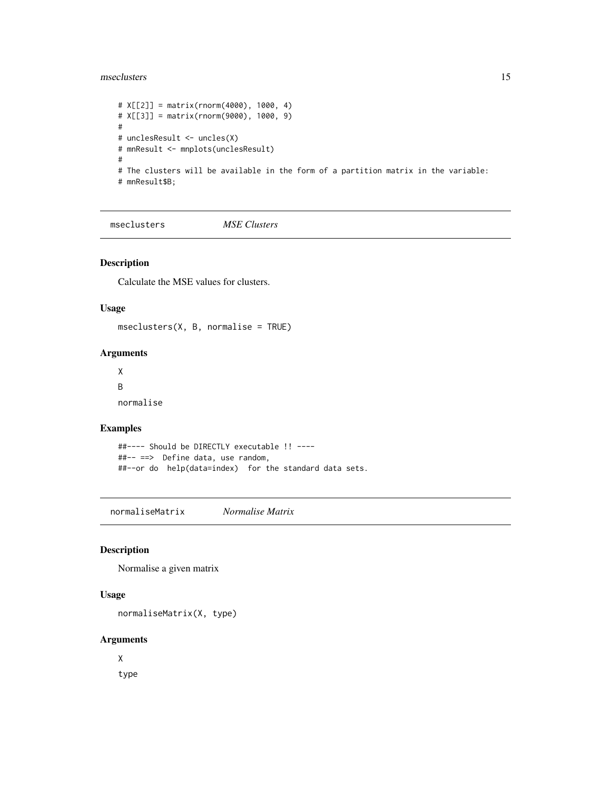#### <span id="page-14-0"></span>mseclusters and the set of the set of the set of the set of the set of the set of the set of the set of the set of the set of the set of the set of the set of the set of the set of the set of the set of the set of the set

```
# X[[2]] = matrix(rnorm(4000), 1000, 4)
# X[[3]] = matrix(rnorm(9000), 1000, 9)
#
# unclesResult <- uncles(X)
# mnResult <- mnplots(unclesResult)
#
# The clusters will be available in the form of a partition matrix in the variable:
# mnResult$B;
```
mseclusters *MSE Clusters*

#### Description

Calculate the MSE values for clusters.

#### Usage

mseclusters(X, B, normalise = TRUE)

#### Arguments

X B normalise

#### Examples

```
##---- Should be DIRECTLY executable !! ----
##-- ==> Define data, use random,
##--or do help(data=index) for the standard data sets.
```
normaliseMatrix *Normalise Matrix*

#### Description

Normalise a given matrix

#### Usage

normaliseMatrix(X, type)

#### Arguments

X

type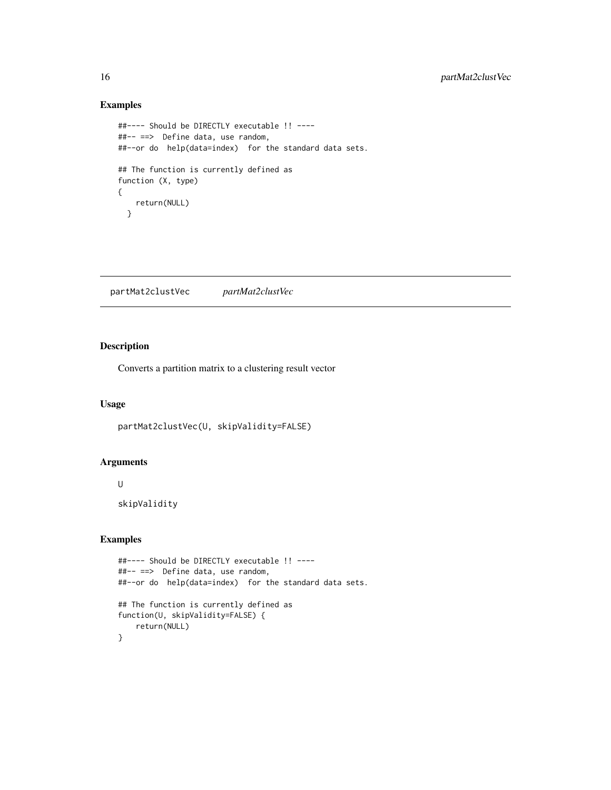#### Examples

```
##---- Should be DIRECTLY executable !! ----
##-- ==> Define data, use random,
##--or do help(data=index) for the standard data sets.
## The function is currently defined as
function (X, type)
{
   return(NULL)
  }
```
partMat2clustVec *partMat2clustVec*

### Description

Converts a partition matrix to a clustering result vector

#### Usage

partMat2clustVec(U, skipValidity=FALSE)

#### Arguments

U

skipValidity

```
##---- Should be DIRECTLY executable !! ----
##-- ==> Define data, use random,
##--or do help(data=index) for the standard data sets.
## The function is currently defined as
function(U, skipValidity=FALSE) {
    return(NULL)
}
```
<span id="page-15-0"></span>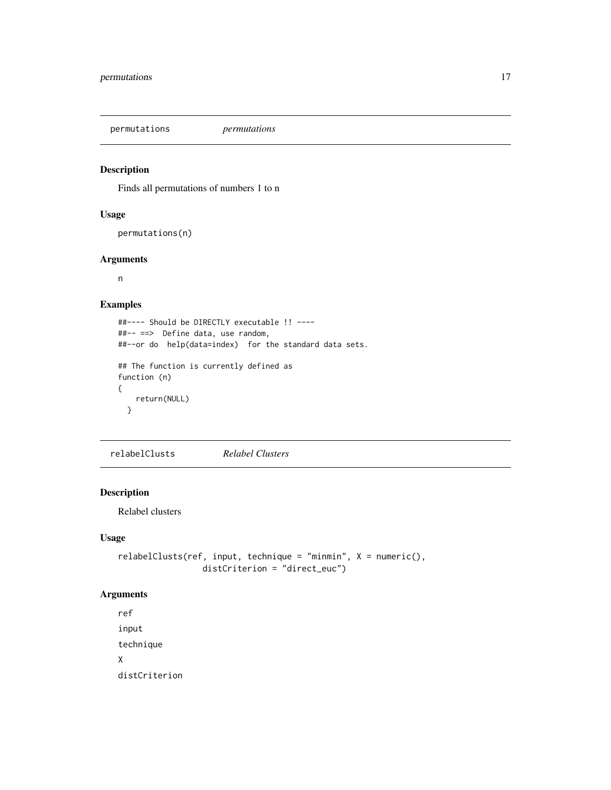<span id="page-16-0"></span>permutations *permutations*

#### Description

Finds all permutations of numbers 1 to n

#### Usage

permutations(n)

#### Arguments

n

#### Examples

```
##---- Should be DIRECTLY executable !! ----
##-- ==> Define data, use random,
##--or do help(data=index) for the standard data sets.
## The function is currently defined as
function (n)
{
   return(NULL)
  }
```
relabelClusts *Relabel Clusters*

#### Description

Relabel clusters

#### Usage

```
relabelClusts(ref, input, technique = "minmin", X = numeric(),
                distCriterion = "direct_euc")
```
#### Arguments

```
ref
input
technique
X
distCriterion
```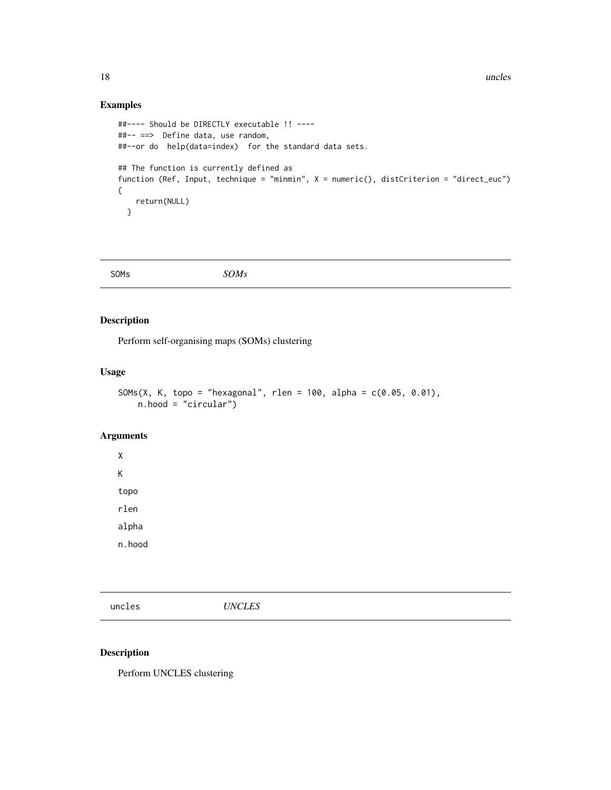#### Examples

```
##---- Should be DIRECTLY executable !! ----
##-- ==> Define data, use random,
##--or do help(data=index) for the standard data sets.
## The function is currently defined as
function (Ref, Input, technique = "minmin", X = numeric(), distCriterion = "direct_euc")
{
   return(NULL)
  }
```
SOMs *SOMs*

#### Description

Perform self-organising maps (SOMs) clustering

#### Usage

SOMs(X, K, topo = "hexagonal", rlen = 100, alpha =  $c(0.05, 0.01)$ , n.hood = "circular")

#### Arguments

X K topo rlen alpha n.hood

uncles *UNCLES*

#### Description

Perform UNCLES clustering

<span id="page-17-0"></span>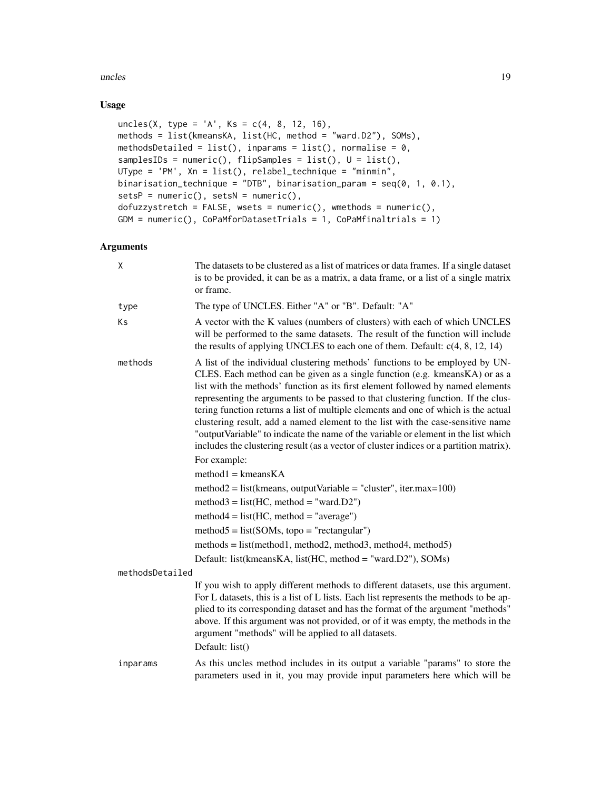#### uncles and the set of the set of the set of the set of the set of the set of the set of the set of the set of the set of the set of the set of the set of the set of the set of the set of the set of the set of the set of th

#### Usage

```
uncles(X, type = 'A', Ks = c(4, 8, 12, 16),
methods = list(kmeansKA, list(HC, method = "ward.D2"), SOMs),
methodsDetailed = list(), inparams = list(), normalise = 0,
samplesIDs = numeric(), flipSamples = list(), U = list(),
UType = 'PM', Xn = list(), relabel_technique = "minmin",
binarisation_technique = "DTB", binarisation_param = seq(0, 1, 0.1),
setsP = numeric(), setsN = numeric(),dofuzzystretch = FALSE, wsets = numeric(), wmethods = numeric(),
GDM = numeric(), CoPaMforDatasetTrials = 1, CoPaMfinaltrials = 1)
```
#### Arguments

| X               | The datasets to be clustered as a list of matrices or data frames. If a single dataset<br>is to be provided, it can be as a matrix, a data frame, or a list of a single matrix<br>or frame.                                                                                                                                                                                                                                                                                                                                                                                                                                                                                                                                                                                                                                                                                                                                                                                                                                                                                          |
|-----------------|--------------------------------------------------------------------------------------------------------------------------------------------------------------------------------------------------------------------------------------------------------------------------------------------------------------------------------------------------------------------------------------------------------------------------------------------------------------------------------------------------------------------------------------------------------------------------------------------------------------------------------------------------------------------------------------------------------------------------------------------------------------------------------------------------------------------------------------------------------------------------------------------------------------------------------------------------------------------------------------------------------------------------------------------------------------------------------------|
| type            | The type of UNCLES. Either "A" or "B". Default: "A"                                                                                                                                                                                                                                                                                                                                                                                                                                                                                                                                                                                                                                                                                                                                                                                                                                                                                                                                                                                                                                  |
| Ks              | A vector with the K values (numbers of clusters) with each of which UNCLES<br>will be performed to the same datasets. The result of the function will include<br>the results of applying UNCLES to each one of them. Default: $c(4, 8, 12, 14)$                                                                                                                                                                                                                                                                                                                                                                                                                                                                                                                                                                                                                                                                                                                                                                                                                                      |
| methods         | A list of the individual clustering methods' functions to be employed by UN-<br>CLES. Each method can be given as a single function (e.g. kmeans KA) or as a<br>list with the methods' function as its first element followed by named elements<br>representing the arguments to be passed to that clustering function. If the clus-<br>tering function returns a list of multiple elements and one of which is the actual<br>clustering result, add a named element to the list with the case-sensitive name<br>"output Variable" to indicate the name of the variable or element in the list which<br>includes the clustering result (as a vector of cluster indices or a partition matrix).<br>For example:<br>$method1 = kmeansKA$<br>$method2 = list(kmeans, outputVariable = "cluster", iter.max=100)$<br>$method3 = list(HC, method = "ward.D2")$<br>$method4 = list(HC, method = "average")$<br>$method5 = list(SOMs, topo = "rectangular")$<br>$methods = list(method1, method2, method3, method4, method5)$<br>Default: list(kmeansKA, list(HC, method = "ward.D2"), SOMs) |
| methodsDetailed |                                                                                                                                                                                                                                                                                                                                                                                                                                                                                                                                                                                                                                                                                                                                                                                                                                                                                                                                                                                                                                                                                      |
|                 | If you wish to apply different methods to different datasets, use this argument.<br>For L datasets, this is a list of L lists. Each list represents the methods to be ap-<br>plied to its corresponding dataset and has the format of the argument "methods"<br>above. If this argument was not provided, or of it was empty, the methods in the<br>argument "methods" will be applied to all datasets.<br>Default: list()                                                                                                                                                                                                                                                                                                                                                                                                                                                                                                                                                                                                                                                           |
| inparams        | As this uncles method includes in its output a variable "params" to store the<br>parameters used in it, you may provide input parameters here which will be                                                                                                                                                                                                                                                                                                                                                                                                                                                                                                                                                                                                                                                                                                                                                                                                                                                                                                                          |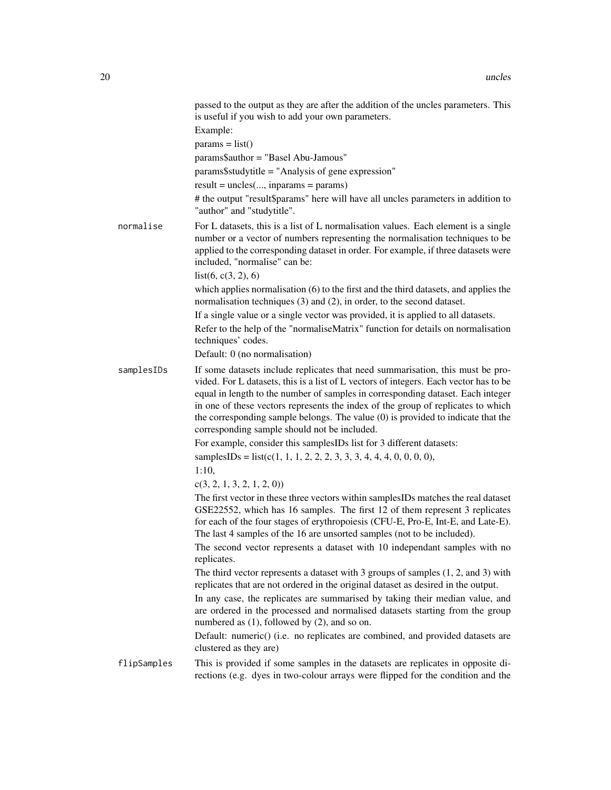|             | passed to the output as they are after the addition of the uncles parameters. This<br>is useful if you wish to add your own parameters.                                                                                                                                                                                                                                                                                                                                            |
|-------------|------------------------------------------------------------------------------------------------------------------------------------------------------------------------------------------------------------------------------------------------------------------------------------------------------------------------------------------------------------------------------------------------------------------------------------------------------------------------------------|
|             | Example:                                                                                                                                                                                                                                                                                                                                                                                                                                                                           |
|             | $params = list()$                                                                                                                                                                                                                                                                                                                                                                                                                                                                  |
|             | params\$author = "Basel Abu-Jamous"                                                                                                                                                                                                                                                                                                                                                                                                                                                |
|             | params\$studytitle = "Analysis of gene expression"                                                                                                                                                                                                                                                                                                                                                                                                                                 |
|             | $result = uncles(, inparams = params)$                                                                                                                                                                                                                                                                                                                                                                                                                                             |
|             | # the output "result\$params" here will have all uncles parameters in addition to<br>"author" and "studytitle".                                                                                                                                                                                                                                                                                                                                                                    |
| normalise   | For L datasets, this is a list of L normalisation values. Each element is a single<br>number or a vector of numbers representing the normalisation techniques to be<br>applied to the corresponding dataset in order. For example, if three datasets were<br>included, "normalise" can be:<br>list(6, c(3, 2), 6)                                                                                                                                                                  |
|             | which applies normalisation (6) to the first and the third datasets, and applies the<br>normalisation techniques (3) and (2), in order, to the second dataset.                                                                                                                                                                                                                                                                                                                     |
|             | If a single value or a single vector was provided, it is applied to all datasets.                                                                                                                                                                                                                                                                                                                                                                                                  |
|             | Refer to the help of the "normaliseMatrix" function for details on normalisation<br>techniques' codes.                                                                                                                                                                                                                                                                                                                                                                             |
|             | Default: 0 (no normalisation)                                                                                                                                                                                                                                                                                                                                                                                                                                                      |
| samplesIDs  | If some datasets include replicates that need summarisation, this must be pro-<br>vided. For L datasets, this is a list of L vectors of integers. Each vector has to be<br>equal in length to the number of samples in corresponding dataset. Each integer<br>in one of these vectors represents the index of the group of replicates to which<br>the corresponding sample belongs. The value (0) is provided to indicate that the<br>corresponding sample should not be included. |
|             | For example, consider this samplesIDs list for 3 different datasets:                                                                                                                                                                                                                                                                                                                                                                                                               |
|             | samplesIDs = $list(c(1, 1, 1, 2, 2, 2, 3, 3, 3, 4, 4, 4, 0, 0, 0, 0))$ ,                                                                                                                                                                                                                                                                                                                                                                                                           |
|             | 1:10,                                                                                                                                                                                                                                                                                                                                                                                                                                                                              |
|             | c(3, 2, 1, 3, 2, 1, 2, 0)                                                                                                                                                                                                                                                                                                                                                                                                                                                          |
|             | The first vector in these three vectors within samplesIDs matches the real dataset<br>GSE22552, which has 16 samples. The first 12 of them represent 3 replicates<br>for each of the four stages of erythropoiesis (CFU-E, Pro-E, Int-E, and Late-E).<br>The last 4 samples of the 16 are unsorted samples (not to be included).                                                                                                                                                   |
|             | The second vector represents a dataset with 10 independant samples with no<br>replicates.                                                                                                                                                                                                                                                                                                                                                                                          |
|             | The third vector represents a dataset with 3 groups of samples $(1, 2,$ and 3) with<br>replicates that are not ordered in the original dataset as desired in the output.                                                                                                                                                                                                                                                                                                           |
|             | In any case, the replicates are summarised by taking their median value, and<br>are ordered in the processed and normalised datasets starting from the group<br>numbered as (1), followed by (2), and so on.                                                                                                                                                                                                                                                                       |
|             | Default: numeric() (i.e. no replicates are combined, and provided datasets are<br>clustered as they are)                                                                                                                                                                                                                                                                                                                                                                           |
| flipSamples | This is provided if some samples in the datasets are replicates in opposite di-<br>rections (e.g. dyes in two-colour arrays were flipped for the condition and the                                                                                                                                                                                                                                                                                                                 |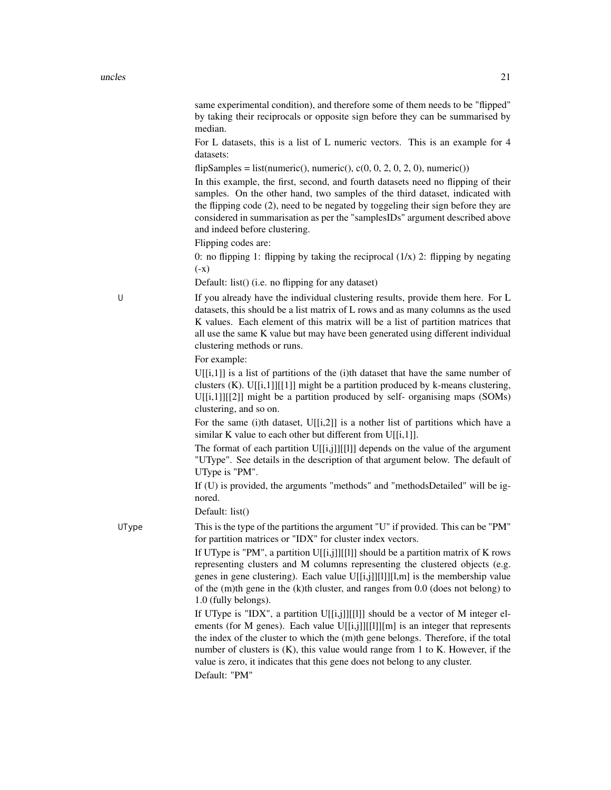same experimental condition), and therefore some of them needs to be "flipped" by taking their reciprocals or opposite sign before they can be summarised by median.

For L datasets, this is a list of L numeric vectors. This is an example for 4 datasets:

flipSamples = list(numeric(), numeric(), c(0, 0, 2, 0, 2, 0), numeric())

In this example, the first, second, and fourth datasets need no flipping of their samples. On the other hand, two samples of the third dataset, indicated with the flipping code (2), need to be negated by toggeling their sign before they are considered in summarisation as per the "samplesIDs" argument described above and indeed before clustering.

Flipping codes are:

0: no flipping 1: flipping by taking the reciprocal  $(1/x)$  2: flipping by negating  $(-x)$ 

Default: list() (i.e. no flipping for any dataset)

U If you already have the individual clustering results, provide them here. For L datasets, this should be a list matrix of L rows and as many columns as the used K values. Each element of this matrix will be a list of partition matrices that all use the same K value but may have been generated using different individual clustering methods or runs.

#### For example:

 $U[[i,1]]$  is a list of partitions of the (i)th dataset that have the same number of clusters (K). U[[i,1]][[1]] might be a partition produced by k-means clustering,  $U[[i,1]][[2]]$  might be a partition produced by self- organising maps (SOMs) clustering, and so on.

For the same (i)th dataset, U[[i,2]] is a nother list of partitions which have a similar K value to each other but different from  $U[[i,1]]$ .

The format of each partition  $U[[i,j]][[1]]$  depends on the value of the argument "UType". See details in the description of that argument below. The default of UType is "PM".

If (U) is provided, the arguments "methods" and "methodsDetailed" will be ignored.

Default: list()

UType This is the type of the partitions the argument "U" if provided. This can be "PM" for partition matrices or "IDX" for cluster index vectors.

> If UType is "PM", a partition  $U[[i,j]][[1]]$  should be a partition matrix of K rows representing clusters and M columns representing the clustered objects (e.g. genes in gene clustering). Each value U[[i,j]][l]][l,m] is the membership value of the (m)th gene in the (k)th cluster, and ranges from 0.0 (does not belong) to 1.0 (fully belongs).

> If UType is "IDX", a partition U[[i,j]][[l]] should be a vector of M integer elements (for M genes). Each value  $U[[i,j]][[1]][m]$  is an integer that represents the index of the cluster to which the (m)th gene belongs. Therefore, if the total number of clusters is  $(K)$ , this value would range from 1 to K. However, if the value is zero, it indicates that this gene does not belong to any cluster. Default: "PM"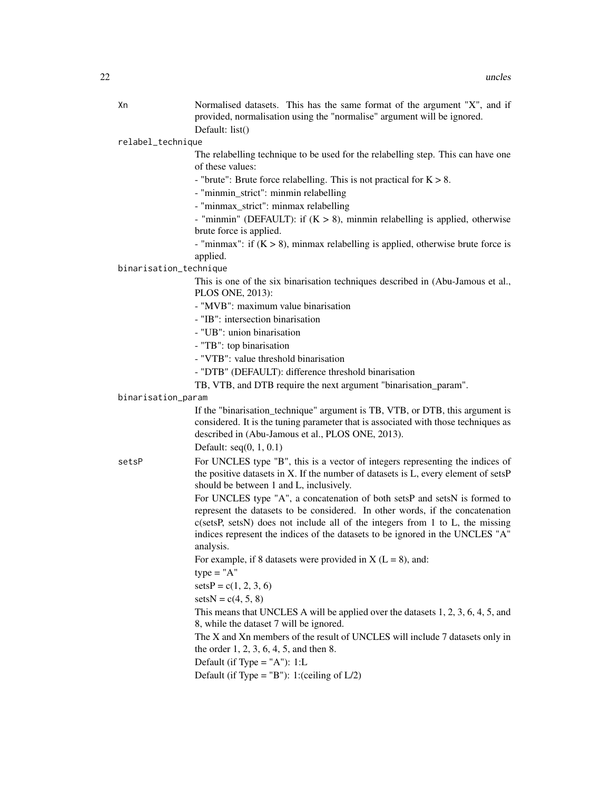Xn Normalised datasets. This has the same format of the argument "X", and if provided, normalisation using the "normalise" argument will be ignored. Default: list()

relabel\_technique

The relabelling technique to be used for the relabelling step. This can have one of these values:

- "brute": Brute force relabelling. This is not practical for  $K > 8$ .

- "minmin\_strict": minmin relabelling

- "minmax\_strict": minmax relabelling
- "minmin" (DEFAULT): if  $(K > 8)$ , minmin relabelling is applied, otherwise brute force is applied.
- "minmax": if  $(K > 8)$ , minmax relabelling is applied, otherwise brute force is applied.

#### binarisation\_technique

This is one of the six binarisation techniques described in (Abu-Jamous et al., PLOS ONE, 2013):

- "MVB": maximum value binarisation
- "IB": intersection binarisation
- "UB": union binarisation
- "TB": top binarisation
- "VTB": value threshold binarisation
- "DTB" (DEFAULT): difference threshold binarisation
- TB, VTB, and DTB require the next argument "binarisation\_param".

#### binarisation\_param

If the "binarisation\_technique" argument is TB, VTB, or DTB, this argument is considered. It is the tuning parameter that is associated with those techniques as described in (Abu-Jamous et al., PLOS ONE, 2013).

#### Default: seq(0, 1, 0.1)

setsP For UNCLES type "B", this is a vector of integers representing the indices of the positive datasets in X. If the number of datasets is L, every element of setsP should be between 1 and L, inclusively.

> For UNCLES type "A", a concatenation of both setsP and setsN is formed to represent the datasets to be considered. In other words, if the concatenation c(setsP, setsN) does not include all of the integers from 1 to L, the missing indices represent the indices of the datasets to be ignored in the UNCLES "A" analysis.

For example, if 8 datasets were provided in  $X (L = 8)$ , and:

 $type = "A"$ 

 $setsP = c(1, 2, 3, 6)$ 

 $setsN = c(4, 5, 8)$ 

This means that UNCLES A will be applied over the datasets 1, 2, 3, 6, 4, 5, and 8, while the dataset 7 will be ignored.

The X and Xn members of the result of UNCLES will include 7 datasets only in the order 1, 2, 3, 6, 4, 5, and then 8.

Default (if Type  $=$  "A"): 1:L

Default (if Type =  $"B"$ ): 1:(ceiling of  $L/2$ )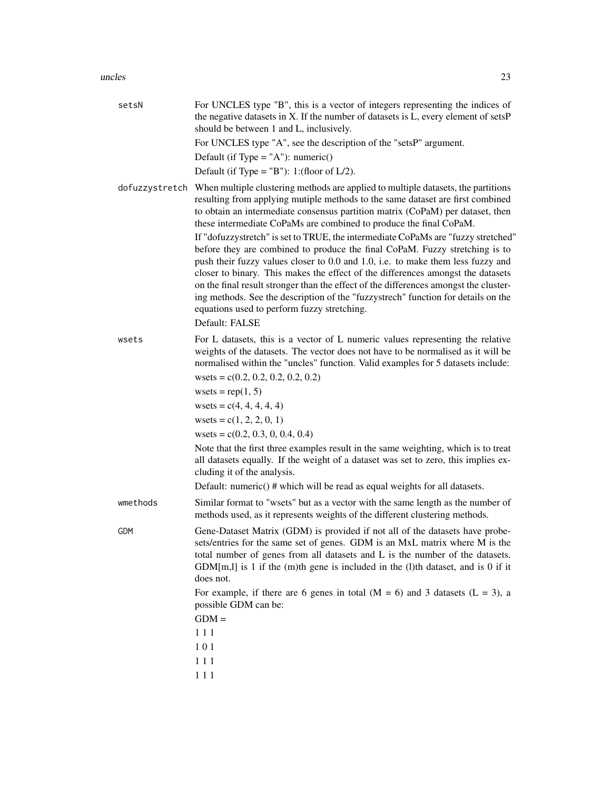| setsN      | For UNCLES type "B", this is a vector of integers representing the indices of<br>the negative datasets in X. If the number of datasets is L, every element of setsP<br>should be between 1 and L, inclusively.<br>For UNCLES type "A", see the description of the "setsP" argument.<br>Default (if Type = $'A$ "): numeric()<br>Default (if Type = $"B"$ ): 1:(floor of $L/2$ ).                                                                                                                                                                                                                                                                                                                                                                                                                                                                                                                                                   |
|------------|------------------------------------------------------------------------------------------------------------------------------------------------------------------------------------------------------------------------------------------------------------------------------------------------------------------------------------------------------------------------------------------------------------------------------------------------------------------------------------------------------------------------------------------------------------------------------------------------------------------------------------------------------------------------------------------------------------------------------------------------------------------------------------------------------------------------------------------------------------------------------------------------------------------------------------|
|            | dofuzzystretch When multiple clustering methods are applied to multiple datasets, the partitions<br>resulting from applying mutiple methods to the same dataset are first combined<br>to obtain an intermediate consensus partition matrix (CoPaM) per dataset, then<br>these intermediate CoPaMs are combined to produce the final CoPaM.<br>If "dofuzzystretch" is set to TRUE, the intermediate CoPaMs are "fuzzy stretched"<br>before they are combined to produce the final CoPaM. Fuzzy stretching is to<br>push their fuzzy values closer to 0.0 and 1.0, i.e. to make them less fuzzy and<br>closer to binary. This makes the effect of the differences amongst the datasets<br>on the final result stronger than the effect of the differences amongst the cluster-<br>ing methods. See the description of the "fuzzystrech" function for details on the<br>equations used to perform fuzzy stretching.<br>Default: FALSE |
| wsets      | For L datasets, this is a vector of L numeric values representing the relative<br>weights of the datasets. The vector does not have to be normalised as it will be<br>normalised within the "uncles" function. Valid examples for 5 datasets include:<br>wsets = $c(0.2, 0.2, 0.2, 0.2, 0.2)$<br>wsets = $rep(1, 5)$<br>wsets = $c(4, 4, 4, 4, 4)$<br>wsets = $c(1, 2, 2, 0, 1)$<br>wsets = $c(0.2, 0.3, 0, 0.4, 0.4)$<br>Note that the first three examples result in the same weighting, which is to treat<br>all datasets equally. If the weight of a dataset was set to zero, this implies ex-<br>cluding it of the analysis.<br>Default: numeric() # which will be read as equal weights for all datasets.                                                                                                                                                                                                                    |
| wmethods   | Similar format to "wsets" but as a vector with the same length as the number of<br>methods used, as it represents weights of the different clustering methods.                                                                                                                                                                                                                                                                                                                                                                                                                                                                                                                                                                                                                                                                                                                                                                     |
| <b>GDM</b> | Gene-Dataset Matrix (GDM) is provided if not all of the datasets have probe-<br>sets/entries for the same set of genes. GDM is an MxL matrix where M is the<br>total number of genes from all datasets and L is the number of the datasets.<br>$GDM[m, l]$ is 1 if the (m)th gene is included in the (l)th dataset, and is 0 if it<br>does not.<br>For example, if there are 6 genes in total ( $M = 6$ ) and 3 datasets ( $L = 3$ ), a<br>possible GDM can be:<br>$GDM =$<br>111<br>101<br>111<br>111                                                                                                                                                                                                                                                                                                                                                                                                                             |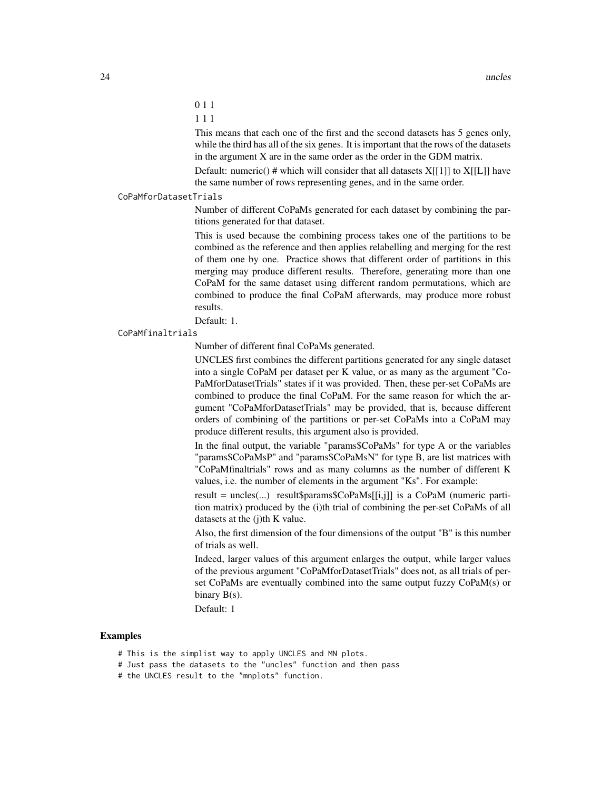- 0 1 1
- 1 1 1

This means that each one of the first and the second datasets has 5 genes only, while the third has all of the six genes. It is important that the rows of the datasets in the argument X are in the same order as the order in the GDM matrix.

Default: numeric() # which will consider that all datasets  $X[[1]]$  to  $X[[L]]$  have the same number of rows representing genes, and in the same order.

#### CoPaMforDatasetTrials

Number of different CoPaMs generated for each dataset by combining the partitions generated for that dataset.

This is used because the combining process takes one of the partitions to be combined as the reference and then applies relabelling and merging for the rest of them one by one. Practice shows that different order of partitions in this merging may produce different results. Therefore, generating more than one CoPaM for the same dataset using different random permutations, which are combined to produce the final CoPaM afterwards, may produce more robust results.

Default: 1.

#### CoPaMfinaltrials

Number of different final CoPaMs generated.

UNCLES first combines the different partitions generated for any single dataset into a single CoPaM per dataset per K value, or as many as the argument "Co-PaMforDatasetTrials" states if it was provided. Then, these per-set CoPaMs are combined to produce the final CoPaM. For the same reason for which the argument "CoPaMforDatasetTrials" may be provided, that is, because different orders of combining of the partitions or per-set CoPaMs into a CoPaM may produce different results, this argument also is provided.

In the final output, the variable "params\$CoPaMs" for type A or the variables "params\$CoPaMsP" and "params\$CoPaMsN" for type B, are list matrices with "CoPaMfinaltrials" rows and as many columns as the number of different K values, i.e. the number of elements in the argument "Ks". For example:

result = uncles(...) result\$params\$CoPaMs[[i,j]] is a CoPaM (numeric partition matrix) produced by the (i)th trial of combining the per-set CoPaMs of all datasets at the (j)th K value.

Also, the first dimension of the four dimensions of the output "B" is this number of trials as well.

Indeed, larger values of this argument enlarges the output, while larger values of the previous argument "CoPaMforDatasetTrials" does not, as all trials of perset CoPaMs are eventually combined into the same output fuzzy CoPaM(s) or binary  $B(s)$ .

Default: 1

- # This is the simplist way to apply UNCLES and MN plots.
- # Just pass the datasets to the "uncles" function and then pass
- # the UNCLES result to the "mnplots" function.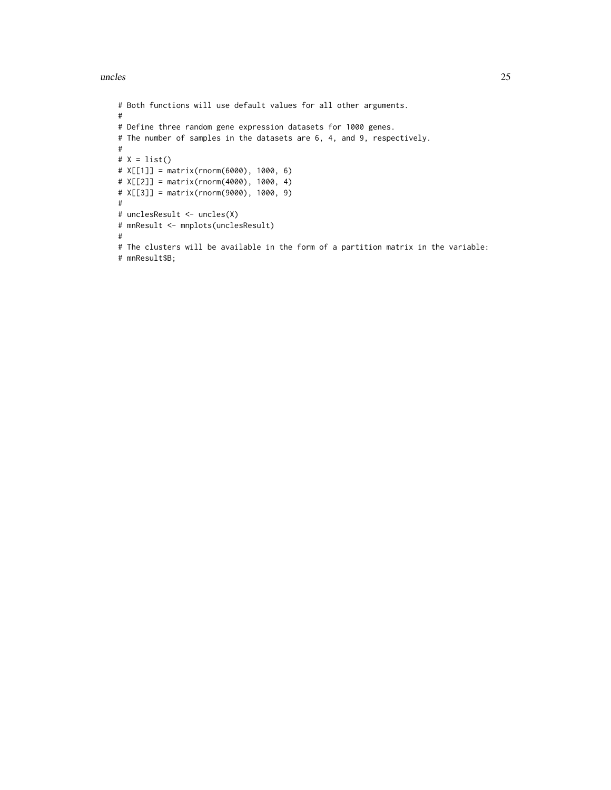#### uncles 25

```
# Both functions will use default values for all other arguments.
#
# Define three random gene expression datasets for 1000 genes.
# The number of samples in the datasets are 6, 4, and 9, respectively.
#
# X = list()# X[[1]] = matrix(rnorm(6000), 1000, 6)
# X[[2]] = matrix(rnorm(4000), 1000, 4)
# X[[3]] = matrix(rnorm(9000), 1000, 9)
#
# unclesResult <- uncles(X)
# mnResult <- mnplots(unclesResult)
#
# The clusters will be available in the form of a partition matrix in the variable:
# mnResult$B;
```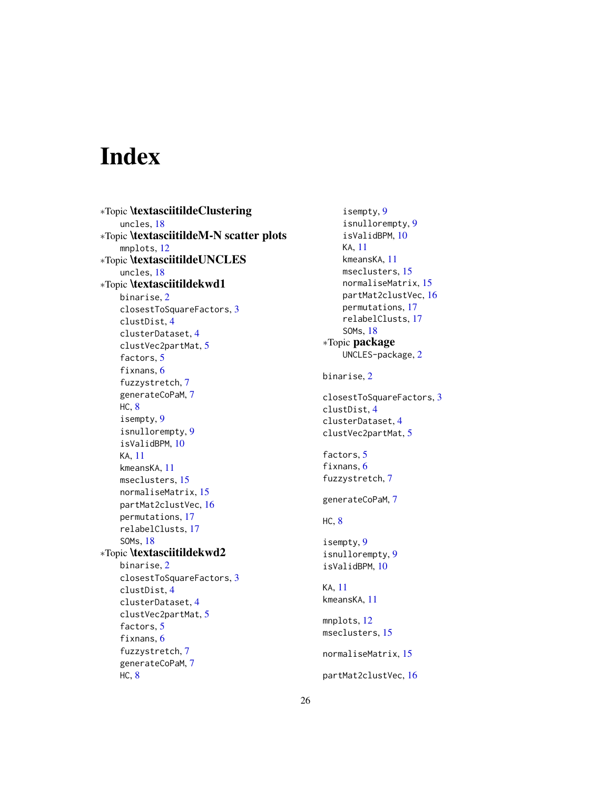# <span id="page-25-0"></span>Index

∗Topic \textasciitildeClustering uncles, [18](#page-17-0) ∗Topic \textasciitildeM-N scatter plots mnplots, [12](#page-11-0) ∗Topic \textasciitildeUNCLES uncles, [18](#page-17-0) ∗Topic \textasciitildekwd1 binarise, [2](#page-1-0) closestToSquareFactors, [3](#page-2-0) clustDist, [4](#page-3-0) clusterDataset, [4](#page-3-0) clustVec2partMat, [5](#page-4-0) factors, [5](#page-4-0) fixnans, [6](#page-5-0) fuzzystretch, [7](#page-6-0) generateCoPaM, [7](#page-6-0) HC, [8](#page-7-0) isempty, [9](#page-8-0) isnullorempty, [9](#page-8-0) isValidBPM, [10](#page-9-0) KA, [11](#page-10-0) kmeansKA, [11](#page-10-0) mseclusters, [15](#page-14-0) normaliseMatrix, [15](#page-14-0) partMat2clustVec, [16](#page-15-0) permutations, [17](#page-16-0) relabelClusts, [17](#page-16-0) SOMs, [18](#page-17-0) ∗Topic \textasciitildekwd2 binarise, [2](#page-1-0) closestToSquareFactors, [3](#page-2-0) clustDist, [4](#page-3-0) clusterDataset, [4](#page-3-0) clustVec2partMat, [5](#page-4-0) factors, [5](#page-4-0) fixnans, [6](#page-5-0) fuzzystretch, [7](#page-6-0) generateCoPaM, [7](#page-6-0) HC, [8](#page-7-0)

isempty, [9](#page-8-0) isnullorempty, [9](#page-8-0) isValidBPM, [10](#page-9-0) KA, [11](#page-10-0) kmeansKA, [11](#page-10-0) mseclusters, [15](#page-14-0) normaliseMatrix, [15](#page-14-0) partMat2clustVec, [16](#page-15-0) permutations, [17](#page-16-0) relabelClusts, [17](#page-16-0) SOMs, [18](#page-17-0) ∗Topic package UNCLES-package, [2](#page-1-0) binarise, [2](#page-1-0) closestToSquareFactors, [3](#page-2-0) clustDist, [4](#page-3-0) clusterDataset, [4](#page-3-0) clustVec2partMat, [5](#page-4-0) factors, [5](#page-4-0) fixnans, [6](#page-5-0) fuzzystretch, [7](#page-6-0) generateCoPaM, [7](#page-6-0) HC, [8](#page-7-0) isempty, [9](#page-8-0) isnullorempty, [9](#page-8-0) isValidBPM, [10](#page-9-0) KA, [11](#page-10-0) kmeansKA, [11](#page-10-0) mnplots, [12](#page-11-0) mseclusters, [15](#page-14-0) normaliseMatrix, [15](#page-14-0) partMat2clustVec, [16](#page-15-0)